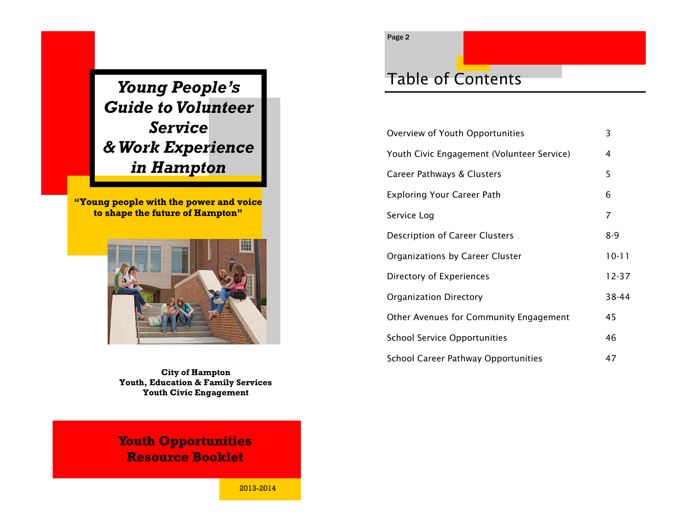*Young People's Guide to Volunteer Service & Work Experience in Hampton*

**"Young people with the power and voice to shape the future of Hampton"**



**City of Hampton Youth, Education & Family Services Youth Civic Engagement**

### **Youth Opportunities Resource Booklet**

## Table of Contents

| Overview of Youth Opportunities            | 3         |
|--------------------------------------------|-----------|
| Youth Civic Engagement (Volunteer Service) | 4         |
| Career Pathways & Clusters                 | 5         |
| <b>Exploring Your Career Path</b>          | 6         |
| Service Log                                | 7         |
| <b>Description of Career Clusters</b>      | $8 - 9$   |
| Organizations by Career Cluster            | $10 - 11$ |
| Directory of Experiences                   | $12 - 37$ |
| Organization Directory                     | 38-44     |
| Other Avenues for Community Engagement     | 45        |
| <b>School Service Opportunities</b>        | 46        |
| <b>School Career Pathway Opportunities</b> | 47        |

2013-2014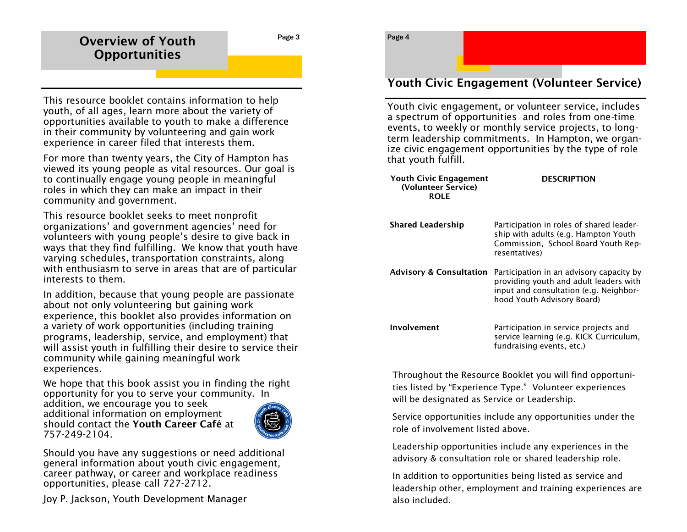### **Overview of Youth Opportunities**

This resource booklet contains information to help youth, of all ages, learn more about the variety of opportunities available to youth to make a difference in their community by volunteering and gain work experience in career filed that interests them.

For more than twenty years, the City of Hampton has viewed its young people as vital resources. Our goal is to continually engage young people in meaningful roles in which they can make an impact in their community and government.

This resource booklet seeks to meet nonprofit organizations' and government agencies' need for volunteers with young people's desire to give back in ways that they find fulfilling. We know that youth have varying schedules, transportation constraints, along with enthusiasm to serve in areas that are of particular interests to them.

In addition, because that young people are passionate about not only volunteering but gaining work experience, this booklet also provides information on a variety of work opportunities (including training programs, leadership, service, and employment) that will assist youth in fulfilling their desire to service their community while gaining meaningful work experiences.

We hope that this book assist you in finding the right opportunity for you to serve your community. In addition, we encourage you to seek additional information on employment should contact the **Youth Career Café** at 757-249-2104.



Should you have any suggestions or need additional general information about youth civic engagement, career pathway, or career and workplace readiness opportunities, please call 727-2712.

Joy P. Jackson, Youth Development Manager

### Page 4

### **Youth Civic Engagement (Volunteer Service)**

Youth civic engagement, or volunteer service, includes a spectrum of opportunities and roles from one-time events, to weekly or monthly service projects, to longterm leadership commitments. In Hampton, we organize civic engagement opportunities by the type of role that youth fulfill.

| <b>Youth Civic Engagement</b><br>(Volunteer Service)<br><b>ROLE</b> | <b>DESCRIPTION</b>                                                                                                                                         |
|---------------------------------------------------------------------|------------------------------------------------------------------------------------------------------------------------------------------------------------|
| <b>Shared Leadership</b>                                            | Participation in roles of shared leader-<br>ship with adults (e.g. Hampton Youth<br>Commission, School Board Youth Rep-<br>resentatives)                   |
| <b>Advisory &amp; Consultation</b>                                  | Participation in an advisory capacity by<br>providing youth and adult leaders with<br>input and consultation (e.g. Neighbor-<br>hood Youth Advisory Board) |
| Involvement                                                         | Participation in service projects and<br>service learning (e.g. KICK Curriculum,<br>fundraising events, etc.)                                              |

Throughout the Resource Booklet you will find opportunities listed by "Experience Type." Volunteer experiences will be designated as Service or Leadership.

Service opportunities include any opportunities under the role of involvement listed above.

Leadership opportunities include any experiences in the advisory & consultation role or shared leadership role.

In addition to opportunities being listed as service and leadership other, employment and training experiences are also included.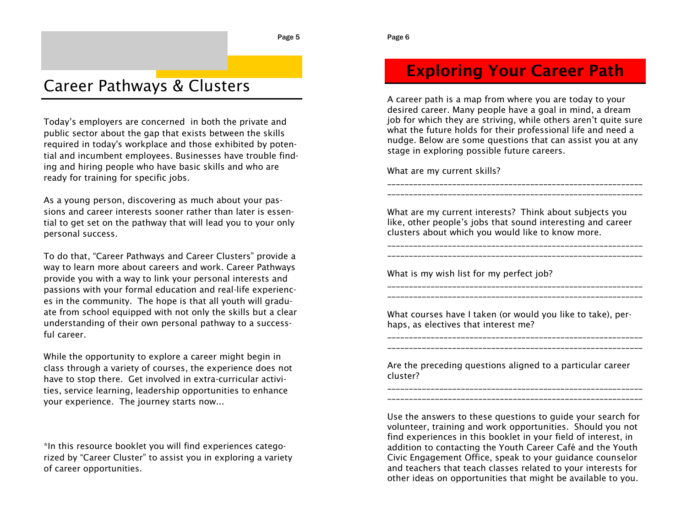## Career Pathways & Clusters

Today's employers are concerned in both the private and public sector about the gap that exists between the skills required in today's workplace and those exhibited by potential and incumbent employees. Businesses have trouble finding and hiring people who have basic skills and who are ready for training for specific jobs.

As a young person, discovering as much about your passions and career interests sooner rather than later is essential to get set on the pathway that will lead you to your only personal success.

To do that, "Career Pathways and Career Clusters" provide a way to learn more about careers and work. Career Pathways provide you with a way to link your personal interests and passions with your formal education and real-life experiences in the community. The hope is that all youth will graduate from school equipped with not only the skills but a clear understanding of their own personal pathway to a successful career.

While the opportunity to explore a career might begin in class through a variety of courses, the experience does not have to stop there. Get involved in extra-curricular activities, service learning, leadership opportunities to enhance your experience. The journey starts now...

\*In this resource booklet you will find experiences categorized by "Career Cluster" to assist you in exploring a variety of career opportunities.

### **Exploring Your Career Path**

A career path is a map from where you are today to your desired career. Many people have a goal in mind, a dream job for which they are striving, while others aren't quite sure what the future holds for their professional life and need a nudge. Below are some questions that can assist you at any stage in exploring possible future careers.

\_\_\_\_\_\_\_\_\_\_\_\_\_\_\_\_\_\_\_\_\_\_\_\_\_\_\_\_\_\_\_\_\_\_\_\_\_\_\_\_\_\_\_\_\_\_\_\_\_\_\_\_\_\_\_\_\_\_\_ \_\_\_\_\_\_\_\_\_\_\_\_\_\_\_\_\_\_\_\_\_\_\_\_\_\_\_\_\_\_\_\_\_\_\_\_\_\_\_\_\_\_\_\_\_\_\_\_\_\_\_\_\_\_\_\_\_\_\_

What are my current skills?

What are my current interests? Think about subjects you like, other people's jobs that sound interesting and career clusters about which you would like to know more.

\_\_\_\_\_\_\_\_\_\_\_\_\_\_\_\_\_\_\_\_\_\_\_\_\_\_\_\_\_\_\_\_\_\_\_\_\_\_\_\_\_\_\_\_\_\_\_\_\_\_\_\_\_\_\_\_\_\_\_ \_\_\_\_\_\_\_\_\_\_\_\_\_\_\_\_\_\_\_\_\_\_\_\_\_\_\_\_\_\_\_\_\_\_\_\_\_\_\_\_\_\_\_\_\_\_\_\_\_\_\_\_\_\_\_\_\_\_\_

\_\_\_\_\_\_\_\_\_\_\_\_\_\_\_\_\_\_\_\_\_\_\_\_\_\_\_\_\_\_\_\_\_\_\_\_\_\_\_\_\_\_\_\_\_\_\_\_\_\_\_\_\_\_\_\_\_\_\_ \_\_\_\_\_\_\_\_\_\_\_\_\_\_\_\_\_\_\_\_\_\_\_\_\_\_\_\_\_\_\_\_\_\_\_\_\_\_\_\_\_\_\_\_\_\_\_\_\_\_\_\_\_\_\_\_\_\_\_

What is my wish list for my perfect job?

What courses have I taken (or would you like to take), perhaps, as electives that interest me?

\_\_\_\_\_\_\_\_\_\_\_\_\_\_\_\_\_\_\_\_\_\_\_\_\_\_\_\_\_\_\_\_\_\_\_\_\_\_\_\_\_\_\_\_\_\_\_\_\_\_\_\_\_\_\_\_\_\_\_ \_\_\_\_\_\_\_\_\_\_\_\_\_\_\_\_\_\_\_\_\_\_\_\_\_\_\_\_\_\_\_\_\_\_\_\_\_\_\_\_\_\_\_\_\_\_\_\_\_\_\_\_\_\_\_\_\_\_\_

Are the preceding questions aligned to a particular career cluster? \_\_\_\_\_\_\_\_\_\_\_\_\_\_\_\_\_\_\_\_\_\_\_\_\_\_\_\_\_\_\_\_\_\_\_\_\_\_\_\_\_\_\_\_\_\_\_\_\_\_\_\_\_\_\_\_\_\_\_

Use the answers to these questions to guide your search for volunteer, training and work opportunities. Should you not find experiences in this booklet in your field of interest, in addition to contacting the Youth Career Café and the Youth Civic Engagement Office, speak to your guidance counselor and teachers that teach classes related to your interests for other ideas on opportunities that might be available to you.

\_\_\_\_\_\_\_\_\_\_\_\_\_\_\_\_\_\_\_\_\_\_\_\_\_\_\_\_\_\_\_\_\_\_\_\_\_\_\_\_\_\_\_\_\_\_\_\_\_\_\_\_\_\_\_\_\_\_\_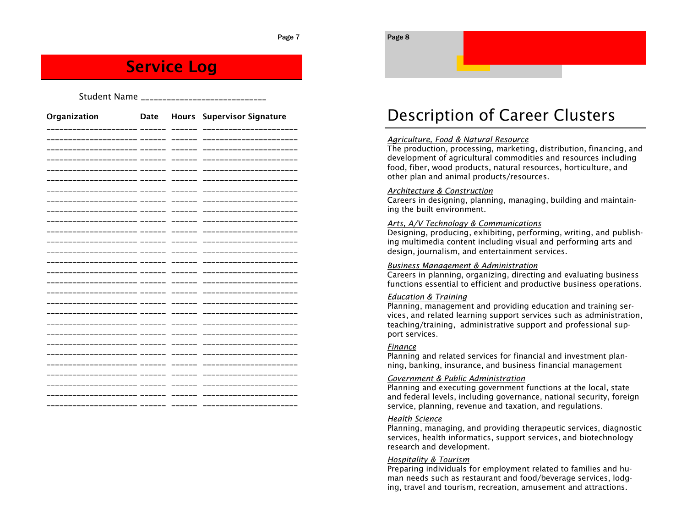### **Service Log**

| Student Name ___________________ |  |  |                                 |  |
|----------------------------------|--|--|---------------------------------|--|
| Organization                     |  |  | Date Hours Supervisor Signature |  |
|                                  |  |  |                                 |  |
| __________                       |  |  | ------------                    |  |
| -------------                    |  |  | -----------                     |  |
|                                  |  |  | ------------                    |  |
|                                  |  |  |                                 |  |
|                                  |  |  |                                 |  |
| ------------                     |  |  |                                 |  |
| -------------                    |  |  | ----------                      |  |
|                                  |  |  |                                 |  |
|                                  |  |  | ----------                      |  |
| -------------                    |  |  | ____________                    |  |
| -----------------                |  |  | _____________                   |  |
|                                  |  |  | ____________                    |  |
|                                  |  |  |                                 |  |
|                                  |  |  |                                 |  |
|                                  |  |  |                                 |  |
|                                  |  |  | ----------                      |  |
|                                  |  |  | ----------                      |  |
|                                  |  |  |                                 |  |
| ___________                      |  |  | ____________                    |  |
| --------------                   |  |  | ------------------              |  |
|                                  |  |  |                                 |  |
|                                  |  |  |                                 |  |
| __________                       |  |  | ----------                      |  |
|                                  |  |  |                                 |  |
|                                  |  |  |                                 |  |

## Description of Career Clusters

### *Agriculture, Food & Natural Resource*

The production, processing, marketing, distribution, financing, and development of agricultural commodities and resources including food, fiber, wood products, natural resources, horticulture, and other plan and animal products/resources.

#### *Architecture & Construction*

Careers in designing, planning, managing, building and maintaining the built environment.

#### *Arts, A/V Technology & Communications*

Designing, producing, exhibiting, performing, writing, and publishing multimedia content including visual and performing arts and design, journalism, and entertainment services.

#### *Business Management & Administration*

Careers in planning, organizing, directing and evaluating business functions essential to efficient and productive business operations.

#### *Education & Training*

Planning, management and providing education and training services, and related learning support services such as administration, teaching/training, administrative support and professional support services.

### *Finance*

Page 8

Planning and related services for financial and investment planning, banking, insurance, and business financial management

### *Government & Public Administration*

Planning and executing government functions at the local, state and federal levels, including governance, national security, foreign service, planning, revenue and taxation, and regulations.

#### *Health Science*

Planning, managing, and providing therapeutic services, diagnostic services, health informatics, support services, and biotechnology research and development.

#### *Hospitality & Tourism*

Preparing individuals for employment related to families and human needs such as restaurant and food/beverage services, lodging, travel and tourism, recreation, amusement and attractions.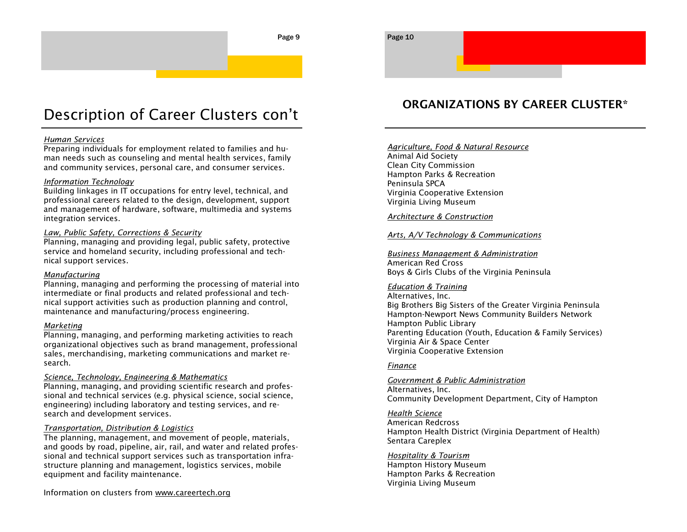### Description of Career Clusters con't

#### *Human Services*

Preparing individuals for employment related to families and human needs such as counseling and mental health services, family and community services, personal care, and consumer services.

#### *Information Technology*

Building linkages in IT occupations for entry level, technical, and professional careers related to the design, development, support and management of hardware, software, multimedia and systems integration services.

### *Law, Public Safety, Corrections & Security*

Planning, managing and providing legal, public safety, protective service and homeland security, including professional and technical support services.

### *Manufacturing*

Planning, managing and performing the processing of material into intermediate or final products and related professional and technical support activities such as production planning and control, maintenance and manufacturing/process engineering.

#### *Marketing*

Planning, managing, and performing marketing activities to reach organizational objectives such as brand management, professional sales, merchandising, marketing communications and market research.

### *Science, Technology, Engineering & Mathematics*

Planning, managing, and providing scientific research and professional and technical services (e.g. physical science, social science, engineering) including laboratory and testing services, and research and development services.

### *Transportation, Distribution & Logistics*

The planning, management, and movement of people, materials, and goods by road, pipeline, air, rail, and water and related professional and technical support services such as transportation infrastructure planning and management, logistics services, mobile equipment and facility maintenance.

Information on clusters from www.careertech.org

### **ORGANIZATIONS BY CAREER CLUSTER\***

### *Agriculture, Food & Natural Resource*

Animal Aid Society Clean City Commission Hampton Parks & Recreation Peninsula SPCA Virginia Cooperative Extension Virginia Living Museum

*Architecture & Construction*

### *Arts, A/V Technology & Communications*

*Business Management & Administration* American Red Cross Boys & Girls Clubs of the Virginia Peninsula

### *Education & Training*

Alternatives, Inc. Big Brothers Big Sisters of the Greater Virginia Peninsula Hampton-Newport News Community Builders Network Hampton Public Library Parenting Education (Youth, Education & Family Services) Virginia Air & Space Center Virginia Cooperative Extension

#### *Finance*

#### *Government & Public Administration*

Alternatives, Inc. Community Development Department, City of Hampton

#### *Health Science*

American Redcross Hampton Health District (Virginia Department of Health) Sentara Careplex

*Hospitality & Tourism* Hampton History Museum Hampton Parks & Recreation Virginia Living Museum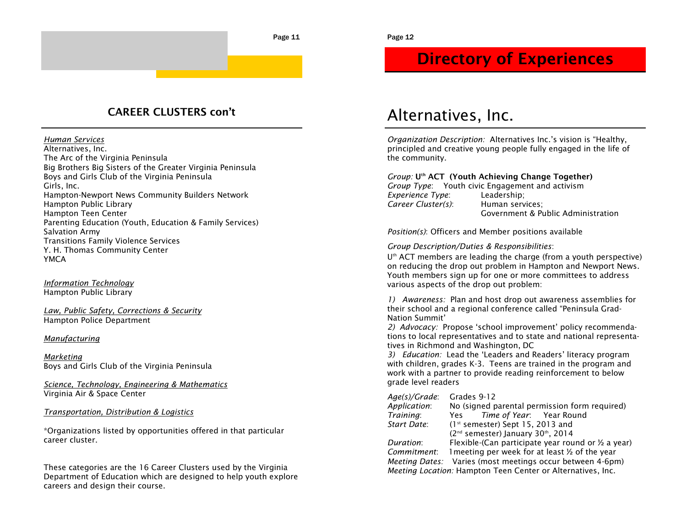### **CAREER CLUSTERS con't**

*Human Services*

Alternatives, Inc. The Arc of the Virginia Peninsula Big Brothers Big Sisters of the Greater Virginia Peninsula Boys and Girls Club of the Virginia Peninsula Girls, Inc. Hampton-Newport News Community Builders Network Hampton Public Library Hampton Teen Center Parenting Education (Youth, Education & Family Services) Salvation Army Transitions Family Violence Services Y. H. Thomas Community Center YMCA

*Information Technology* Hampton Public Library

*Law, Public Safety, Corrections & Security* Hampton Police Department

### *Manufacturing*

*Marketing* Boys and Girls Club of the Virginia Peninsula

*Science, Technology, Engineering & Mathematics* Virginia Air & Space Center

### *Transportation, Distribution & Logistics*

\*Organizations listed by opportunities offered in that particular career cluster.

These categories are the 16 Career Clusters used by the Virginia Department of Education which are designed to help youth explore careers and design their course.

### **Directory of Experiences**

### Alternatives, Inc.

*Organization Description:* Alternatives Inc.'s vision is "Healthy, principled and creative young people fully engaged in the life of the community.

*Group:* **Uth ACT (Youth Achieving Change Together)**

*Group Type*: Youth civic Engagement and activism *Experience Type*: Leadership; *Career Cluster(s)*: Human services; Government & Public Administration

*Position(s)*: Officers and Member positions available

*Group Description/Duties & Responsibilities*:

 $U<sup>th</sup>$  ACT members are leading the charge (from a youth perspective) on reducing the drop out problem in Hampton and Newport News. Youth members sign up for one or more committees to address various aspects of the drop out problem:

*1) Awareness:* Plan and host drop out awareness assemblies for their school and a regional conference called "Peninsula Grad-Nation Summit'

*2) Advocacy:* Propose 'school improvement' policy recommendations to local representatives and to state and national representatives in Richmond and Washington, DC

*3) Education:* Lead the 'Leaders and Readers' literacy program with children, grades K-3. Teens are trained in the program and work with a partner to provide reading reinforcement to below grade level readers

| Age(s)/Grade: | Grades 9-12                                                   |
|---------------|---------------------------------------------------------------|
| Application:  | No (signed parental permission form required)                 |
| Training:     | Time of Year: Year Round<br>Yes                               |
| Start Date:   | $(1st$ semester) Sept 15, 2013 and                            |
|               | (2 <sup>nd</sup> semester) January 30 <sup>th</sup> , 2014    |
| Duration:     | Flexible-(Can participate year round or $\frac{1}{2}$ a year) |
| Commitment:   | 1 meeting per week for at least 1/2 of the year               |
|               | Meeting Dates: Varies (most meetings occur between 4-6pm)     |
|               | Meeting Location: Hampton Teen Center or Alternatives, Inc.   |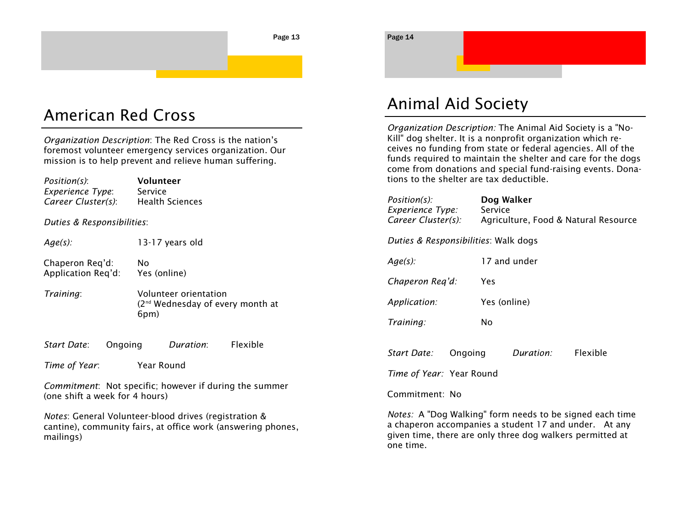### American Red Cross

*Organization Description*: The Red Cross is the nation's foremost volunteer emergency services organization. Our mission is to help prevent and relieve human suffering.

| Position(s):<br>Experience Type:<br>Career Cluster(s): | Volunteer<br>Service<br><b>Health Sciences</b>                                |  |  |
|--------------------------------------------------------|-------------------------------------------------------------------------------|--|--|
| Duties & Responsibilities:                             |                                                                               |  |  |
| $Age(s)$ :                                             | 13-17 years old                                                               |  |  |
| Chaperon Reg'd:<br>Application Reg'd:                  | Nο<br>Yes (online)                                                            |  |  |
| Training:                                              | Volunteer orientation<br>(2 <sup>nd</sup> Wednesday of every month at<br>6pm) |  |  |
| Start Date:                                            | Flexible<br>Duration:<br>Ongoing                                              |  |  |

*Time of Year*: Year Round

*Commitment*: Not specific; however if during the summer (one shift a week for 4 hours)

*Notes*: General Volunteer-blood drives (registration & cantine), community fairs, at office work (answering phones, mailings)

Page 14

## Animal Aid Society

*Organization Description:* The Animal Aid Society is a "No-Kill" dog shelter. It is a nonprofit organization which receives no funding from state or federal agencies. All of the funds required to maintain the shelter and care for the dogs come from donations and special fund-raising events. Donations to the shelter are tax deductible.

| Position(s):<br>Experience Type:<br>Career Cluster(s): |              | Dog Walker<br>Service<br>Agriculture, Food & Natural Resource |          |
|--------------------------------------------------------|--------------|---------------------------------------------------------------|----------|
| Duties & Responsibilities: Walk dogs                   |              |                                                               |          |
| $Age(s)$ :                                             |              | 17 and under                                                  |          |
| Chaperon Req'd:                                        | Yes          |                                                               |          |
| Application:                                           | Yes (online) |                                                               |          |
| Training:                                              | No           |                                                               |          |
|                                                        |              |                                                               |          |
| Start Date:                                            | Ongoing      | Duration:                                                     | Flexible |
| <i>Time of Year:</i> Year Round                        |              |                                                               |          |
| Commitment: No                                         |              |                                                               |          |

*Notes:* A "Dog Walking" form needs to be signed each time a chaperon accompanies a student 17 and under. At any given time, there are only three dog walkers permitted at one time.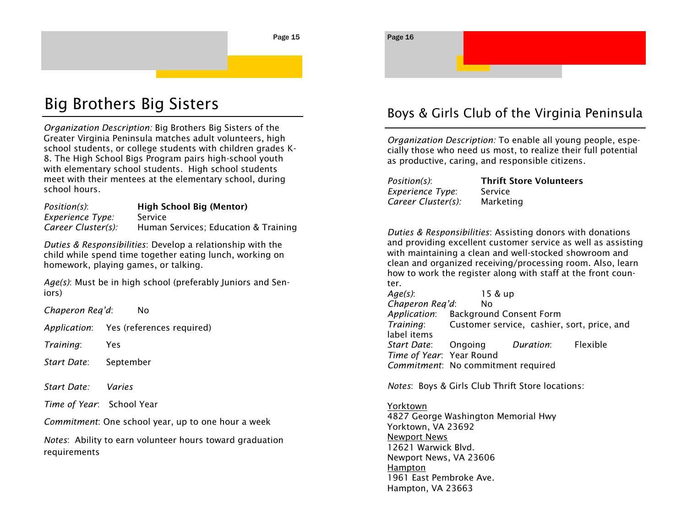## Big Brothers Big Sisters

*Organization Description:* Big Brothers Big Sisters of the Greater Virginia Peninsula matches adult volunteers, high school students, or college students with children grades K-8. The High School Bigs Program pairs high-school youth with elementary school students. High school students meet with their mentees at the elementary school, during school hours.

*Position(s)*: **High School Big (Mentor)** *Experience Type:* Service *Career Cluster(s):* Human Services; Education & Training

*Duties & Responsibilities*: Develop a relationship with the child while spend time together eating lunch, working on homework, playing games, or talking.

*Age(s)*: Must be in high school (preferably Juniors and Seniors)

*Chaperon Req'd*: No

*Application*: Yes (references required)

*Training*: Yes

*Start Date*: September

*Start Date: Varies*

*Time of Year*: School Year

*Commitment*: One school year, up to one hour a week

*Notes*: Ability to earn volunteer hours toward graduation requirements

### Boys & Girls Club of the Virginia Peninsula

*Organization Description:* To enable all young people, especially those who need us most, to realize their full potential as productive, caring, and responsible citizens.

*Experience Type*: Service *Career Cluster(s):* Marketing

Page 16

*Position(s)*: **Thrift Store Volunteers**

*Duties & Responsibilities*: Assisting donors with donations and providing excellent customer service as well as assisting with maintaining a clean and well-stocked showroom and clean and organized receiving/processing room. Also, learn how to work the register along with staff at the front counter.

*Age(s)*: 15 & up *Chaperon Req'd*: No *Application*: Background Consent Form *Training*: Customer service, cashier, sort, price, and label items *Start Date*: Ongoing *Duration*: Flexible *Time of Year*: Year Round *Commitment*: No commitment required

*Notes*: Boys & Girls Club Thrift Store locations:

Yorktown 4827 George Washington Memorial Hwy Yorktown, VA 23692 Newport News 12621 Warwick Blvd. Newport News, VA 23606 Hampton 1961 East Pembroke Ave. Hampton, VA 23663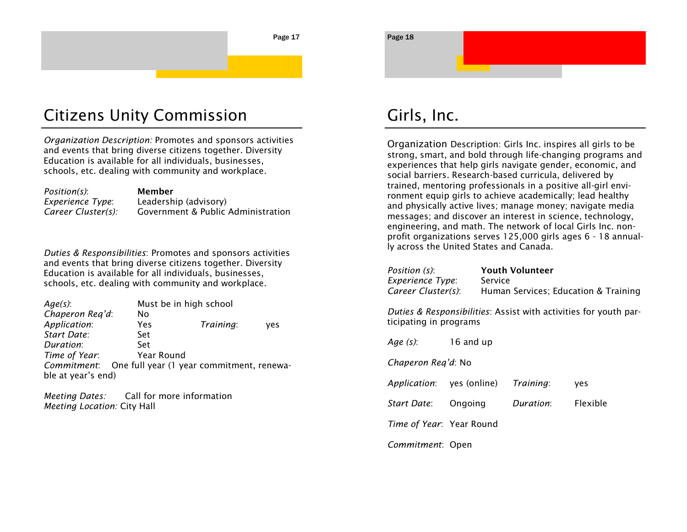## Citizens Unity Commission

*Organization Description:* Promotes and sponsors activities and events that bring diverse citizens together. Diversity Education is available for all individuals, businesses, schools, etc. dealing with community and workplace.

| <i>Position(s)</i> : | Member                             |
|----------------------|------------------------------------|
| Experience Type:     | Leadership (advisory)              |
| Career Cluster(s):   | Government & Public Administration |

*Duties & Responsibilities*: Promotes and sponsors activities and events that bring diverse citizens together. Diversity Education is available for all individuals, businesses, schools, etc. dealing with community and workplace.

| $Age(s)$ :         |            | Must be in high school                    |     |  |
|--------------------|------------|-------------------------------------------|-----|--|
| Chaperon Reg'd:    | No         |                                           |     |  |
| Application:       | Yes        | Training:                                 | ves |  |
| Start Date:        | Set        |                                           |     |  |
| Duration:          | Set        |                                           |     |  |
| Time of Year:      | Year Round |                                           |     |  |
| Commitment:        |            | One full year (1 year commitment, renewa- |     |  |
| ble at year's end) |            |                                           |     |  |

*Meeting Dates:* Call for more information *Meeting Location:* City Hall

## Girls, Inc.

Organization Description: Girls Inc. inspires all girls to be strong, smart, and bold through life-changing programs and experiences that help girls navigate gender, economic, and social barriers. Research-based curricula, delivered by trained, mentoring professionals in a positive all-girl environment equip girls to achieve academically; lead healthy and physically active lives; manage money; navigate media messages; and discover an interest in science, technology, engineering, and math. The network of local Girls Inc. nonprofit organizations serves 125,000 girls ages 6 - 18 annually across the United States and Canada.

*Position (s)*: **Youth Volunteer** *Experience Type*: Service

*Career Cluster(s)*: Human Services; Education & Training

*Duties & Responsibilities*: Assist with activities for youth participating in programs

*Age (s)*: 16 and up *Chaperon Req'd*: No *Application*: yes (online) *Training*: yes *Start Date*: Ongoing *Duration*: Flexible *Time of Year*: Year Round *Commitment*: Open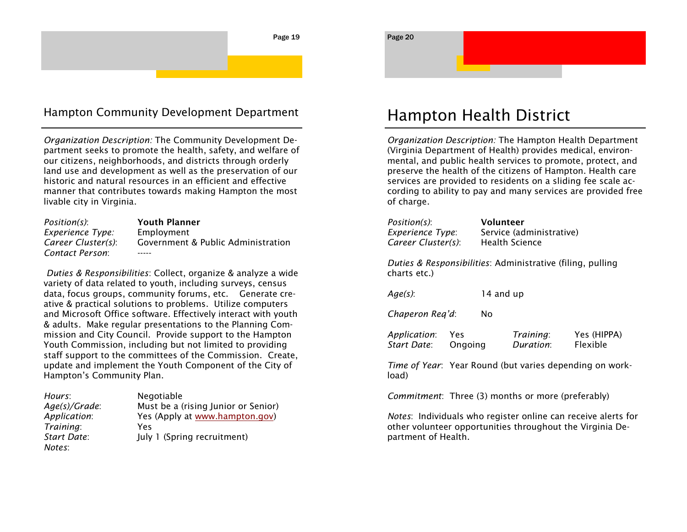### Hampton Community Development Department

*Organization Description:* The Community Development Department seeks to promote the health, safety, and welfare of our citizens, neighborhoods, and districts through orderly land use and development as well as the preservation of our historic and natural resources in an efficient and effective manner that contributes towards making Hampton the most livable city in Virginia.

| Position(s):       | <b>Youth Planner</b>               |
|--------------------|------------------------------------|
| Experience Type:   | Employment                         |
| Career Cluster(s): | Government & Public Administration |
| Contact Person:    |                                    |

*Duties & Responsibilities*: Collect, organize & analyze a wide variety of data related to youth, including surveys, census data, focus groups, community forums, etc. Generate creative & practical solutions to problems. Utilize computers and Microsoft Office software. Effectively interact with youth & adults. Make regular presentations to the Planning Commission and City Council. Provide support to the Hampton Youth Commission, including but not limited to providing staff support to the committees of the Commission. Create, update and implement the Youth Component of the City of Hampton's Community Plan.

| Hours:        | Negotiable                          |
|---------------|-------------------------------------|
| Age(s)/Grade: | Must be a (rising Junior or Senior) |
| Application:  | Yes (Apply at www.hampton.gov)      |
| Training:     | Yes                                 |
| Start Date:   | July 1 (Spring recruitment)         |
| Notes:        |                                     |

### Hampton Health District

*Organization Description:* The Hampton Health Department (Virginia Department of Health) provides medical, environmental, and public health services to promote, protect, and preserve the health of the citizens of Hampton. Health care services are provided to residents on a sliding fee scale according to ability to pay and many services are provided free of charge.

| Position(s):            | Volunteer                                                  |
|-------------------------|------------------------------------------------------------|
| <b>Experience Type:</b> | Service (administrative)                                   |
| Career Cluster(s):      | <b>Health Science</b>                                      |
| charts etc.)            | Duties & Responsibilities: Administrative (filing, pulling |
| Age(s):                 | 14 and up                                                  |

*Chaperon Req'd*: No

| Application: | Yes     | Training: | Yes (HIPPA) |
|--------------|---------|-----------|-------------|
| Start Date:  | Ongoing | Duration: | Flexible    |

*Time of Year*: Year Round (but varies depending on workload)

*Commitment*: Three (3) months or more (preferably)

*Notes*: Individuals who register online can receive alerts for other volunteer opportunities throughout the Virginia Department of Health.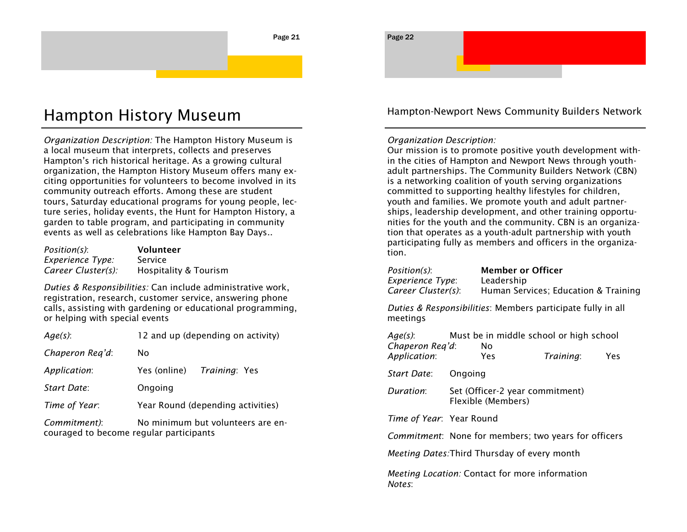## Hampton History Museum

*Organization Description:* The Hampton History Museum is a local museum that interprets, collects and preserves Hampton's rich historical heritage. As a growing cultural organization, the Hampton History Museum offers many exciting opportunities for volunteers to become involved in its community outreach efforts. Among these are student tours, Saturday educational programs for young people, lecture series, holiday events, the Hunt for Hampton History, a garden to table program, and participating in community events as well as celebrations like Hampton Bay Days..

| Position(s):       | Volunteer             |
|--------------------|-----------------------|
| Experience Type:   | Service               |
| Career Cluster(s): | Hospitality & Tourism |

*Duties & Responsibilities:* Can include administrative work, registration, research, customer service, answering phone calls, assisting with gardening or educational programming, or helping with special events

| $Age(s)$ :      | 12 and up (depending on activity) |
|-----------------|-----------------------------------|
| Chaperon Reg'd: | No                                |
| Application:    | Yes (online) Training: Yes        |
| Start Date:     | Ongoing                           |
| Time of Year:   | Year Round (depending activities) |
| Commitment):    | No minimum but volunteers are en- |

couraged to become regular participants

Hampton-Newport News Community Builders Network

### *Organization Description:*

Page 22

Our mission is to promote positive youth development within the cities of Hampton and Newport News through youthadult partnerships. The Community Builders Network (CBN) is a networking coalition of youth serving organizations committed to supporting healthy lifestyles for children, youth and families. We promote youth and adult partnerships, leadership development, and other training opportunities for the youth and the community. CBN is an organization that operates as a youth-adult partnership with youth participating fully as members and officers in the organization.

| Position(s):<br>Experience Type:<br>Career Cluster(s):   |         | Member or Officer<br>Leadership                       | Human Services; Education & Training                         |     |
|----------------------------------------------------------|---------|-------------------------------------------------------|--------------------------------------------------------------|-----|
| meetings                                                 |         |                                                       | Duties & Responsibilities: Members participate fully in all  |     |
| $Age(s)$ :<br>Chaperon Req'd:<br>Application:            |         | No.<br>Yes                                            | Must be in middle school or high school<br>Training:         | Yes |
| Start Date:                                              | Ongoing |                                                       |                                                              |     |
| Duration:                                                |         | Set (Officer-2 year commitment)<br>Flexible (Members) |                                                              |     |
| Time of Year: Year Round                                 |         |                                                       |                                                              |     |
|                                                          |         |                                                       | <i>Commitment</i> : None for members; two years for officers |     |
| <i>Meeting Dates:</i> Third Thursday of every month      |         |                                                       |                                                              |     |
| Meeting Location: Contact for more information<br>Notes: |         |                                                       |                                                              |     |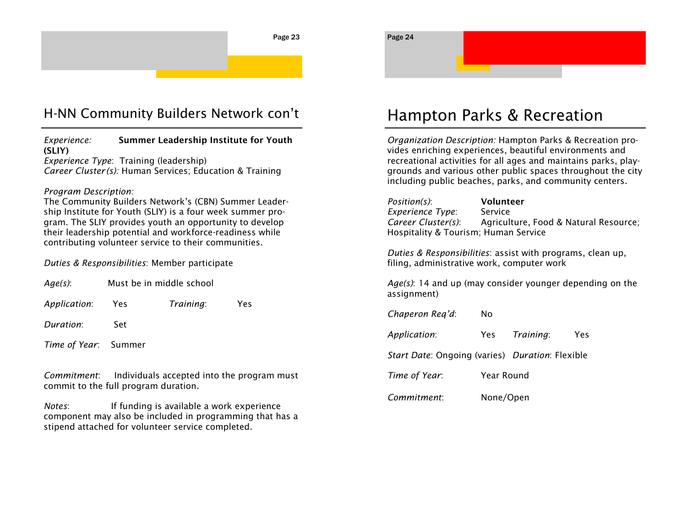### H-NN Community Builders Network con't

*Experience:* **Summer Leadership Institute for Youth (SLIY)** *Experience Type*: Training (leadership)

*Career Cluster (s):* Human Services; Education & Training

### *Program Description:*

The Community Builders Network's (CBN) Summer Leadership Institute for Youth (SLIY) is a four week summer program. The SLIY provides youth an opportunity to develop their leadership potential and workforce-readiness while contributing volunteer service to their communities.

### *Duties & Responsibilities*: Member participate

| $Age(s)$ :           | Must be in middle school |           |     |  |
|----------------------|--------------------------|-----------|-----|--|
| Application:         | - Yes                    | Training: | Yes |  |
| Duration:            | Set                      |           |     |  |
| Time of Year: Summer |                          |           |     |  |

*Commitment*: Individuals accepted into the program must commit to the full program duration.

*Notes*: If funding is available a work experience component may also be included in programming that has a stipend attached for volunteer service completed.

### Hampton Parks & Recreation

*Organization Description:* Hampton Parks & Recreation provides enriching experiences, beautiful environments and recreational activities for all ages and maintains parks, playgrounds and various other public spaces throughout the city including public beaches, parks, and community centers.

| Position(s):                         | Volunteer                             |  |
|--------------------------------------|---------------------------------------|--|
| Experience Type:                     | <b>Service</b>                        |  |
| Career Cluster(s):                   | Agriculture, Food & Natural Resource; |  |
| Hospitality & Tourism; Human Service |                                       |  |

*Duties & Responsibilities*: assist with programs, clean up, filing, administrative work, computer work

*Age(s)*: 14 and up (may consider younger depending on the assignment)

*Chaperon Req'd*: No

*Application*: Yes *Training*: Yes

*Start Date*: Ongoing (varies) *Duration*: Flexible

*Time of Year*: Year Round

*Commitment*: None/Open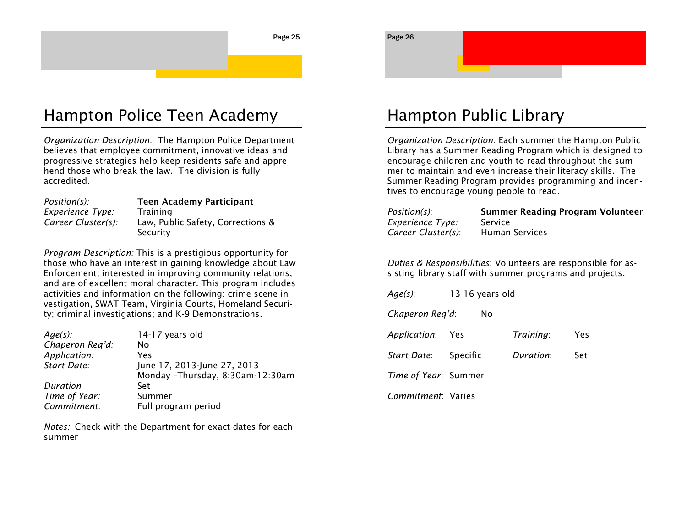### Hampton Police Teen Academy

*Organization Description:* The Hampton Police Department believes that employee commitment, innovative ideas and progressive strategies help keep residents safe and apprehend those who break the law. The division is fully accredited.

| $Position(s)$ :    | <b>Teen Academy Participant</b>   |
|--------------------|-----------------------------------|
| Experience Type:   | Training                          |
| Career Cluster(s): | Law, Public Safety, Corrections & |
|                    | Security                          |

*Program Description:* This is a prestigious opportunity for those who have an interest in gaining knowledge about Law Enforcement, interested in improving community relations, and are of excellent moral character. This program includes activities and information on the following: crime scene investigation, SWAT Team, Virginia Courts, Homeland Security; criminal investigations; and K-9 Demonstrations.

| $Age(s)$ :      | 14-17 years old                  |
|-----------------|----------------------------------|
| Chaperon Reg'd: | No                               |
| Application:    | Yes                              |
| Start Date:     | June 17, 2013-June 27, 2013      |
|                 | Monday -Thursday, 8:30am-12:30am |
| Duration        | Set                              |
| Time of Year:   | Summer                           |
| Commitment:     | Full program period              |

*Notes:* Check with the Department for exact dates for each summer

Page 26

## Hampton Public Library

*Organization Description:* Each summer the Hampton Public Library has a Summer Reading Program which is designed to encourage children and youth to read throughout the summer to maintain and even increase their literacy skills. The Summer Reading Program provides programming and incentives to encourage young people to read.

| Position(s):       | <b>Summer Reading Program Volunteer</b> |
|--------------------|-----------------------------------------|
| Experience Type:   | Service                                 |
| Career Cluster(s): | <b>Human Services</b>                   |

*Duties & Responsibilities*: Volunteers are responsible for assisting library staff with summer programs and projects.

| $Age(s)$ :                   | 13-16 years old |           |     |
|------------------------------|-----------------|-----------|-----|
| Chaperon Reg'd:              | No              |           |     |
| Application: Yes             |                 | Training: | Yes |
| <i>Start Date</i> : Specific |                 | Duration: | Set |
| Time of Year: Summer         |                 |           |     |
| Commitment: Varies           |                 |           |     |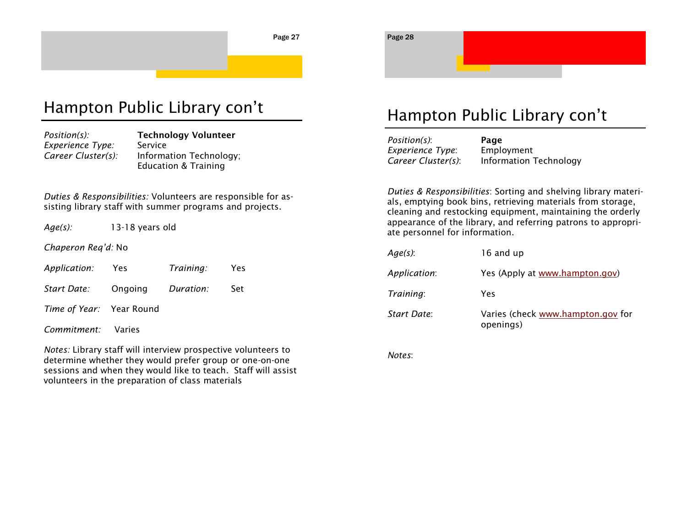### Hampton Public Library con't

| Position(s):       | <b>Technology Volunteer</b>     |
|--------------------|---------------------------------|
| Experience Type:   | Service                         |
| Career Cluster(s): | Information Technology;         |
|                    | <b>Education &amp; Training</b> |

*Duties & Responsibilities:* Volunteers are responsible for assisting library staff with summer programs and projects.

*Age(s):* 13-18 years old

*Chaperon Req'd:* No

| Application: | Yes | Training: | Yes |
|--------------|-----|-----------|-----|
|--------------|-----|-----------|-----|

*Start Date:* Ongoing *Duration:* Set

*Time of Year:* Year Round

*Commitment:* Varies

*Notes:* Library staff will interview prospective volunteers to determine whether they would prefer group or one-on-one sessions and when they would like to teach. Staff will assist volunteers in the preparation of class materials

### Hampton Public Library con't

| Position(s):       | Page                          |
|--------------------|-------------------------------|
| Experience Type:   | Employment                    |
| Career Cluster(s): | <b>Information Technology</b> |

*Duties & Responsibilities*: Sorting and shelving library materials, emptying book bins, retrieving materials from storage, cleaning and restocking equipment, maintaining the orderly appearance of the library, and referring patrons to appropriate personnel for information.

| $Age(s)$ :   | 16 and up                                      |
|--------------|------------------------------------------------|
| Application: | Yes (Apply at www.hampton.gov)                 |
| Training:    | Yes                                            |
| Start Date:  | Varies (check www.hampton.gov for<br>openings) |

*Notes*:

Page 28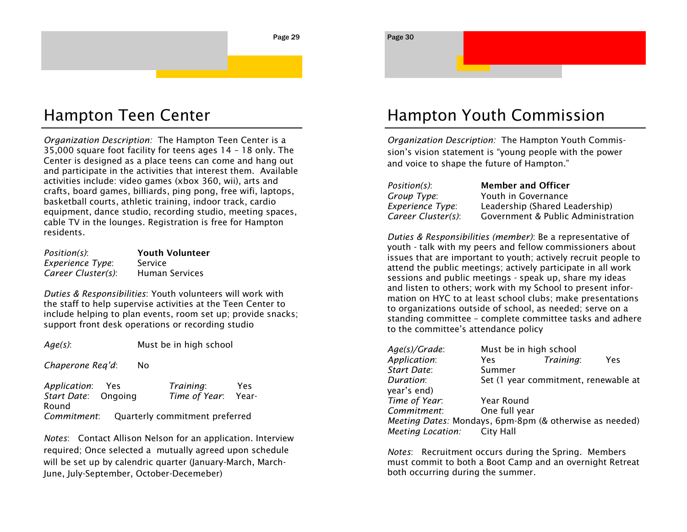### Hampton Teen Center

*Organization Description:* The Hampton Teen Center is a 35,000 square foot facility for teens ages 14 – 18 only. The Center is designed as a place teens can come and hang out and participate in the activities that interest them. Available activities include: video games (xbox 360, wii), arts and crafts, board games, billiards, ping pong, free wifi, laptops, basketball courts, athletic training, indoor track, cardio equipment, dance studio, recording studio, meeting spaces, cable TV in the lounges. Registration is free for Hampton residents.

| Position(s):            | <b>Youth Volunteer</b> |
|-------------------------|------------------------|
| <b>Experience Type:</b> | Service                |
| Career Cluster(s):      | <b>Human Services</b>  |

*Duties & Responsibilities*: Youth volunteers will work with the staff to help supervise activities at the Teen Center to include helping to plan events, room set up; provide snacks; support front desk operations or recording studio

| Age(s): | Must be in high school |
|---------|------------------------|
|         |                        |

*Chaperone Req'd*: No

| Application: Yes            | Training:                      | Yes   |
|-----------------------------|--------------------------------|-------|
| <i>Start Date</i> : Ongoing | Time of Year:                  | Year- |
| Round                       |                                |       |
| Commitment:                 | Quarterly commitment preferred |       |

*Notes*: Contact Allison Nelson for an application. Interview required; Once selected a mutually agreed upon schedule will be set up by calendric quarter (January-March, March-June, July-September, October-Decemeber)

### Hampton Youth Commission

Page 30

*Organization Description:* The Hampton Youth Commission's vision statement is "young people with the power and voice to shape the future of Hampton."

| Position(s):       | <b>Member and Officer</b>          |
|--------------------|------------------------------------|
| Group Type:        | Youth in Governance                |
| Experience Type:   | Leadership (Shared Leadership)     |
| Career Cluster(s): | Government & Public Administration |

*Duties & Responsibilities (member)*: Be a representative of youth - talk with my peers and fellow commissioners about issues that are important to youth; actively recruit people to attend the public meetings; actively participate in all work sessions and public meetings - speak up, share my ideas and listen to others; work with my School to present information on HYC to at least school clubs; make presentations to organizations outside of school, as needed; serve on a standing committee – complete committee tasks and adhere to the committee's attendance policy

| $Age(s)/Grade$ :                                        | Must be in high school |           |                                      |
|---------------------------------------------------------|------------------------|-----------|--------------------------------------|
| Application:                                            | Yes                    | Training: | Yes                                  |
| Start Date:                                             | Summer                 |           |                                      |
| Duration:                                               |                        |           | Set (1 year commitment, renewable at |
| year's end)                                             |                        |           |                                      |
| Time of Year:                                           | Year Round             |           |                                      |
| Commitment:                                             | One full year          |           |                                      |
| Meeting Dates: Mondays, 6pm-8pm (& otherwise as needed) |                        |           |                                      |
| <b>Meeting Location:</b>                                | <b>City Hall</b>       |           |                                      |

*Notes*: Recruitment occurs during the Spring. Members must commit to both a Boot Camp and an overnight Retreat both occurring during the summer.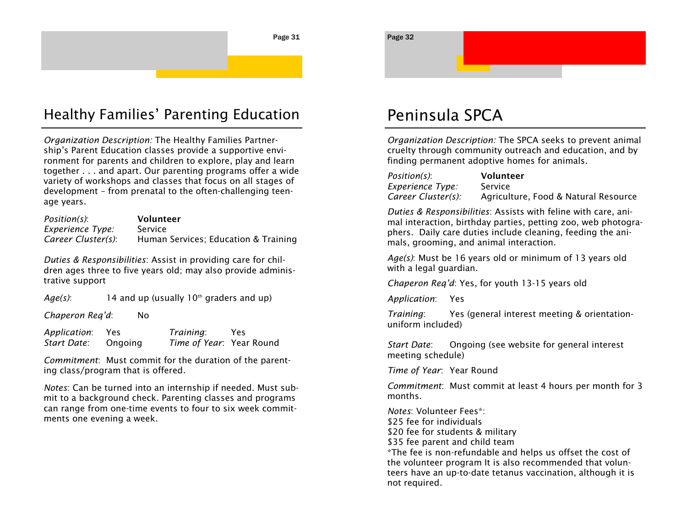# Healthy Families' Parenting Education

*Organization Description:* The Healthy Families Partnership's Parent Education classes provide a supportive environment for parents and children to explore, play and learn together . . . and apart. Our parenting programs offer a wide variety of workshops and classes that focus on all stages of development – from prenatal to the often-challenging teenage years.

| Position(s):       | Volunteer                            |
|--------------------|--------------------------------------|
| Experience Type:   | Service                              |
| Career Cluster(s): | Human Services; Education & Training |

*Duties & Responsibilities*: Assist in providing care for children ages three to five years old; may also provide administrative support

*Age(s)*: 14 and up (usually  $10<sup>th</sup>$  graders and up)

*Chaperon Req'd*: No

| Application: | Yes     | Training:                | Yes |
|--------------|---------|--------------------------|-----|
| Start Date:  | Ongoing | Time of Year: Year Round |     |

*Commitment*: Must commit for the duration of the parenting class/program that is offered.

*Notes*: Can be turned into an internship if needed. Must submit to a background check. Parenting classes and programs can range from one-time events to four to six week commitments one evening a week.

### Peninsula SPCA

*Organization Description:* The SPCA seeks to prevent animal cruelty through community outreach and education, and by finding permanent adoptive homes for animals.

| Position(s):       | Volunteer                            |
|--------------------|--------------------------------------|
| Experience Type:   | Service                              |
| Career Cluster(s): | Agriculture, Food & Natural Resource |

*Duties & Responsibilities*: Assists with feline with care, animal interaction, birthday parties, petting zoo, web photographers. Daily care duties include cleaning, feeding the animals, grooming, and animal interaction.

*Age(s)*: Must be 16 years old or minimum of 13 years old with a legal guardian.

*Chaperon Req'd*: Yes, for youth 13-15 years old

*Application*: Yes

*Training*: Yes (general interest meeting & orientationuniform included)

*Start Date*: Ongoing (see website for general interest meeting schedule)

*Time of Year*: Year Round

*Commitment*: Must commit at least 4 hours per month for 3 months.

*Notes*: Volunteer Fees\*: \$25 fee for individuals \$20 fee for students & military \$35 fee parent and child team \*The fee is non-refundable and helps us offset the cost of the volunteer program It is also recommended that volunteers have an up-to-date tetanus vaccination, although it is not required.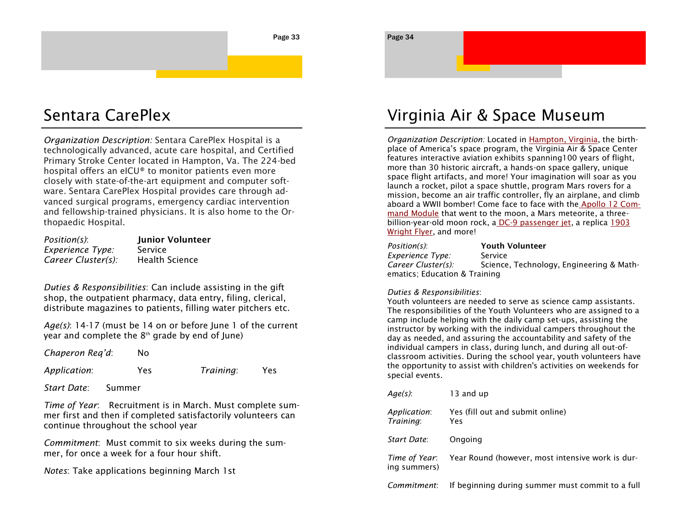## Sentara CarePlex

*Organization Description:* Sentara CarePlex Hospital is a technologically advanced, acute care hospital, and Certified Primary Stroke Center located in Hampton, Va. The 224-bed hospital offers an eICU® to monitor patients even more closely with state-of-the-art equipment and computer software. Sentara CarePlex Hospital provides care through advanced surgical programs, emergency cardiac intervention and fellowship-trained physicians. It is also home to the Orthopaedic Hospital.

| Position(s):       | Junior Volunteer      |
|--------------------|-----------------------|
| Experience Type:   | Service               |
| Career Cluster(s): | <b>Health Science</b> |

*Duties & Responsibilities*: Can include assisting in the gift shop, the outpatient pharmacy, data entry, filing, clerical, distribute magazines to patients, filling water pitchers etc.

*Age(s)*: 14-17 (must be 14 on or before June 1 of the current year and complete the  $8<sup>th</sup>$  grade by end of June)

*Chaperon Req'd*: No

*Application*: Yes *Training*: Yes

*Start Date*: Summer

*Time of Year*: Recruitment is in March. Must complete summer first and then if completed satisfactorily volunteers can continue throughout the school year

*Commitment*: Must commit to six weeks during the summer, for once a week for a four hour shift.

*Notes*: Take applications beginning March 1st

### Virginia Air & Space Museum

*Organization Description:* Located in [Hampton, Virginia,](http://hamptoncvb.com) the birthplace of America's space program, the Virginia Air & Space Center features interactive aviation exhibits spanning100 years of flight, more than 30 historic aircraft, a hands-on space gallery, unique space flight artifacts, and more! Your imagination will soar as you launch a rocket, pilot a space shuttle, program Mars rovers for a mission, become an air traffic controller, fly an airplane, and climb aboard a WWII bomber! Come face to face with the [Apollo 12 Com](http://www.vasc.org/exhibits/spacecraft/apollo12.html)[mand Module](http://www.vasc.org/exhibits/spacecraft/apollo12.html) that went to the moon, a Mars meteorite, a three-billion-year-old moon rock, a [DC-9 passenger jet,](http://www.vasc.org/exhibits/aircraft/dc9.html) a replica 1903 [Wright Flyer,](http://www.vasc.org/../exhibits/aircraft/wrightflyer.html) and more!

| Position(s):                  | <b>Youth Volunteer</b>                   |
|-------------------------------|------------------------------------------|
| Experience Type:              | Service                                  |
| Career Cluster(s):            | Science, Technology, Engineering & Math- |
| ematics: Education & Training |                                          |

### *Duties & Responsibilities*:

Page 34

Youth volunteers are needed to serve as science camp assistants. The responsibilities of the Youth Volunteers who are assigned to a camp include helping with the daily camp set-ups, assisting the instructor by working with the individual campers throughout the day as needed, and assuring the accountability and safety of the individual campers in class, during lunch, and during all out-ofclassroom activities. During the school year, youth volunteers have the opportunity to assist with children's activities on weekends for special events.

| Age(s):                       | 13 and up                                        |
|-------------------------------|--------------------------------------------------|
| Application:<br>Training:     | Yes (fill out and submit online)<br>Yes          |
| Start Date:                   | Ongoing                                          |
| Time of Year:<br>ing summers) | Year Round (however, most intensive work is dur- |
| Commitment:                   | If beginning during summer must commit to a full |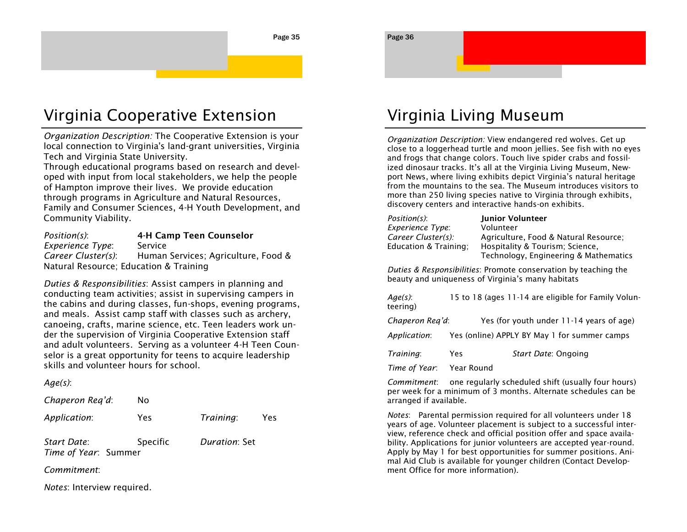#### Page 36

## Virginia Cooperative Extension

*Organization Description:* The Cooperative Extension is your local connection to Virginia's land-grant universities, Virginia Tech and Virginia State University.

Through educational programs based on research and developed with input from local stakeholders, we help the people of Hampton improve their lives. We provide education through programs in Agriculture and Natural Resources, Family and Consumer Sciences, 4-H Youth Development, and Community Viability.

*Position(s)*: **4-H Camp Teen Counselor** *Experience Type*: Service *Career Cluster(s)*: Human Services; Agriculture, Food & Natural Resource; Education & Training

*Duties & Responsibilities*: Assist campers in planning and conducting team activities; assist in supervising campers in the cabins and during classes, fun-shops, evening programs, and meals. Assist camp staff with classes such as archery, canoeing, crafts, marine science, etc. Teen leaders work under the supervision of Virginia Cooperative Extension staff and adult volunteers. Serving as a volunteer 4-H Teen Counselor is a great opportunity for teens to acquire leadership skills and volunteer hours for school.

*Age(s)*:

| Chaperon Req'd: |  | No |
|-----------------|--|----|
|-----------------|--|----|

| Application: | Yes             | Training:     | Yes |
|--------------|-----------------|---------------|-----|
| Start Date:  | <b>Specific</b> | Duration: Set |     |

*Commitment*:

*Notes*: Interview required.

*Time of Year*: Summer

## Virginia Living Museum

*Organization Description:* View endangered red wolves. Get up close to a loggerhead turtle and moon jellies. See fish with no eyes and frogs that change colors. Touch live spider crabs and fossilized dinosaur tracks. It's all at the Virginia Living Museum, Newport News, where living exhibits depict Virginia's natural heritage from the mountains to the sea. The Museum introduces visitors to more than 250 living species native to Virginia through exhibits, discovery centers and interactive hands-on exhibits.

| Position(s):          | Junior Volunteer                      |
|-----------------------|---------------------------------------|
| Experience Type:      | Volunteer                             |
| Career Cluster(s):    | Agriculture, Food & Natural Resource; |
| Education & Training: | Hospitality & Tourism; Science,       |
|                       | Technology, Engineering & Mathematics |

*Duties & Responsibilities*: Promote conservation by teaching the beauty and uniqueness of Virginia's many habitats

| Age(s):<br>teering) |            | 15 to 18 (ages 11-14 are eligible for Family Volun- |
|---------------------|------------|-----------------------------------------------------|
| Chaperon Reg'd:     |            | Yes (for youth under 11-14 years of age)            |
| Application:        |            | Yes (online) APPLY BY May 1 for summer camps        |
| Training:           | Yes        | Start Date: Ongoing                                 |
| Time of Year:       | Year Round |                                                     |

*Commitment*: one regularly scheduled shift (usually four hours) per week for a minimum of 3 months. Alternate schedules can be arranged if available.

*Notes*: Parental permission required for all volunteers under 18 years of age. Volunteer placement is subject to a successful interview, reference check and official position offer and space availability. Applications for junior volunteers are accepted year-round. Apply by May 1 for best opportunities for summer positions. Animal Aid Club is available for younger children (Contact Development Office for more information).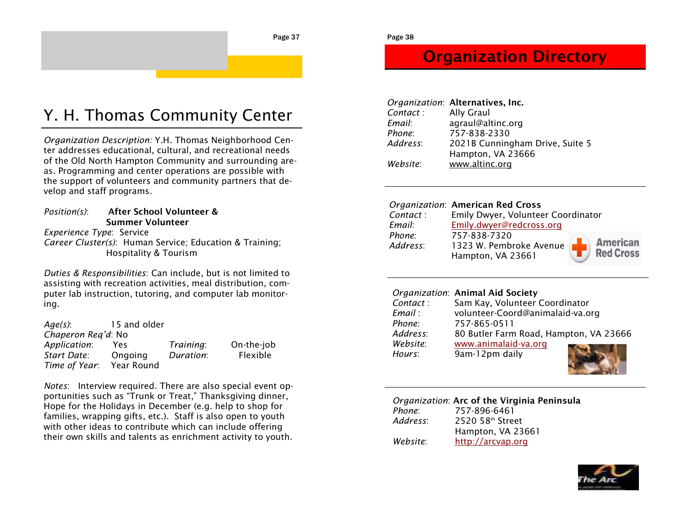## Y. H. Thomas Community Center

*Organization Description:* Y.H. Thomas Neighborhood Center addresses educational, cultural, and recreational needs of the Old North Hampton Community and surrounding areas. Programming and center operations are possible with the support of volunteers and community partners that develop and staff programs.

*Position(s)*: **After School Volunteer & Summer Volunteer** *Experience Type*: Service

*Career Cluster(s)*: Human Service; Education & Training; Hospitality & Tourism

*Duties & Responsibilities*: Can include, but is not limited to assisting with recreation activities, meal distribution, computer lab instruction, tutoring, and computer lab monitoring.

| Age(s):            | 15 and older |           |            |
|--------------------|--------------|-----------|------------|
| Chaperon Reg'd: No |              |           |            |
| Application:       | Yes          | Training: | On-the-job |
| Start Date:        | Ongoing      | Duration: | Flexible   |
| Time of Year:      | Year Round   |           |            |

*Notes*: Interview required. There are also special event opportunities such as "Trunk or Treat," Thanksgiving dinner, Hope for the Holidays in December (e.g. help to shop for families, wrapping gifts, etc.). Staff is also open to youth with other ideas to contribute which can include offering their own skills and talents as enrichment activity to youth.

### **Organization Directory**

|          | Organization: Alternatives, Inc.                     |
|----------|------------------------------------------------------|
| Contact: | <b>Ally Graul</b>                                    |
| Email:   | agraul@altinc.org                                    |
| Phone:   | 757-838-2330                                         |
| Address: | 2021B Cunningham Drive, Suite 5<br>Hampton, VA 23666 |
| Website: | www.altinc.org                                       |

### *Organization*: **American Red Cross**

| Contact :          | Emily Dwyer, Volunteer Coordinator                           |                                     |
|--------------------|--------------------------------------------------------------|-------------------------------------|
| Email:             | Emily.dwyer@redcross.org                                     |                                     |
| Phone:<br>Address: | 757-838-7320<br>1323 W. Pembroke Avenue<br>Hampton, VA 23661 | <b>American</b><br><b>Red Cross</b> |

### *Organization*: **Animal Aid Society**

| Contact: | Sam Kay, Volunteer Coordinator         |
|----------|----------------------------------------|
| Email :  | volunteer-Coord@animalaid-va.org       |
| Phone:   | 757-865-0511                           |
| Address: | 80 Butler Farm Road, Hampton, VA 23666 |
| Website: | www.animalaid-va.org                   |
| Hours:   | 9am-12pm daily                         |
|          |                                        |

### *Organization*: **Arc of the Virginia Peninsula** *Phone*: 757-896-6461 *Address*: 2520 58th Street Hampton, VA 23661 *Website*: <http://arcvap.org>

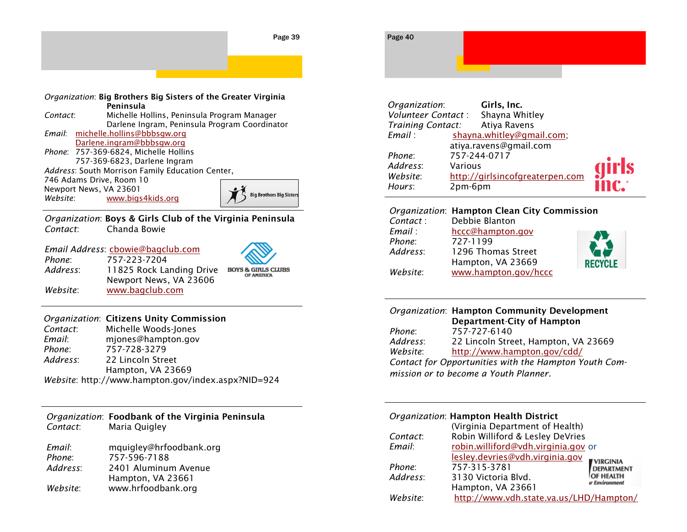

|          | Organization: Big Brothers Big Sisters of the Greater Virginia |                            |
|----------|----------------------------------------------------------------|----------------------------|
|          | Peninsula                                                      |                            |
| Contact: | Michelle Hollins, Peninsula Program Manager                    |                            |
|          | Darlene Ingram, Peninsula Program Coordinator                  |                            |
|          | Email: michelle.hollins@bbbsqw.org                             |                            |
|          | Darlene.ingram@bbbsgw.org                                      |                            |
|          | Phone: 757-369-6824, Michelle Hollins                          |                            |
|          | 757-369-6823, Darlene Ingram                                   |                            |
|          | Address: South Morrison Family Education Center,               |                            |
|          | 746 Adams Drive, Room 10                                       |                            |
|          | Newport News, VA 23601                                         |                            |
| Website: | www.bigs4kids.org                                              | <b>Big Brothers Big Si</b> |

*Organization*: **Boys & Girls Club of the Virginia Peninsula** *Contact*: Chanda Bowie

#### *Email Address*: **chowie@bagclub.com**<br>Phone: 757-223-7204 *Phone*: 757-223-7204

*Address*: 11825 Rock Landing Drive BOYS & GIRLS CLUBS Newport News, VA 23606 *Website*: [www.bagclub.com](http://www.bagclub.com)

Sister:

### *Organization*: **Citizens Unity Commission**

| Contact: | Michelle Woods-Jones                               |
|----------|----------------------------------------------------|
| Email:   | mjones@hampton.gov                                 |
| Phone:   | 757-728-3279                                       |
| Address: | 22 Lincoln Street                                  |
|          | Hampton, VA 23669                                  |
|          | Website: http://www.hampton.gov/index.aspx?NID=924 |

| Contact: | Organization: Foodbank of the Virginia Peninsula<br>Maria Ouigley |
|----------|-------------------------------------------------------------------|
| Email:   | mquiqley@hrfoodbank.org                                           |

| 757-596-7188         |
|----------------------|
| 2401 Aluminum Avenue |
| Hampton, VA 23661    |
| www.hrfoodbank.org   |
|                      |

| Page 40 |  |  |
|---------|--|--|
|         |  |  |
|         |  |  |

| Organization:      | Girls, Inc.                     |       |
|--------------------|---------------------------------|-------|
| Volunteer Contact: | Shayna Whitley                  |       |
| Training Contact:  | Atiya Ravens                    |       |
| Email:             | shayna.whitley@gmail.com;       |       |
|                    | atiya.ravens@gmail.com          |       |
| Phone:             | 757-244-0717                    |       |
| Address:           | Various                         | girls |
| Website:           | http://girlsincofgreaterpen.com |       |
| Hours:             | 2pm-6pm                         |       |
|                    |                                 |       |

### *Organization*: **Hampton Clean City Commission**

| Contact: | Debbie Blanton       |               |
|----------|----------------------|---------------|
| Email :  | hccc@hampton.gov     |               |
| Phone:   | 727-1199             |               |
| Address: | 1296 Thomas Street   |               |
|          | Hampton, VA 23669    | <b>RECYCI</b> |
| Website: | www.hampton.gov/hccc |               |



### *Organization*: **Hampton Community Development Department**-**City of Hampton** *Phone*: 757-727-6140

| Address:                                              | 22 Lincoln Street, Hampton, VA 23669 |  |
|-------------------------------------------------------|--------------------------------------|--|
| Website:                                              | http://www.hampton.gov/cdd/          |  |
| Contact for Opportunities with the Hampton Youth Com- |                                      |  |

*mission or to become a Youth Planner.*

### *Organization*: **Hampton Health District**

|          | (Virginia Department of Health)         |                       |
|----------|-----------------------------------------|-----------------------|
| Contact: | Robin Williford & Lesley DeVries        |                       |
| Email:   | robin.williford@vdh.virginia.gov or     |                       |
|          | lesley.devries@vdh.virginia.gov         | <b>VIRGINIA</b>       |
| Phone:   | 757-315-3781                            | <b>DEPARTMENT</b>     |
| Address: | 3130 Victoria Blvd.                     | OF HEALTH             |
|          | Hampton, VA 23661                       | <b>ur Environment</b> |
| Website: | http://www.vdh.state.va.us/LHD/Hampton/ |                       |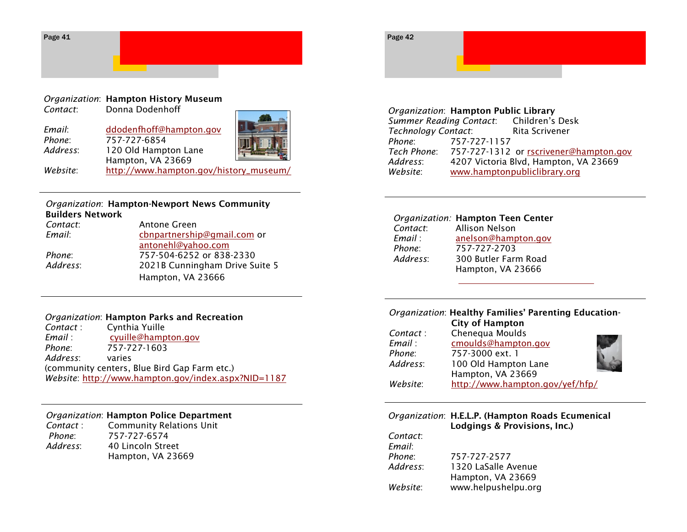

### *Organization*: **Hampton History Museum**

*Contact*: Donna Dodenhoff

| Email:   | ddodenfhoff@hampton.gov                |  |
|----------|----------------------------------------|--|
| Phone:   | 757-727-6854                           |  |
| Address: | 120 Old Hampton Lane                   |  |
|          | Hampton, VA 23669                      |  |
| Website: | http://www.hampton.gov/history_museum/ |  |

### *Organization*: **Hampton-Newport News Community Builders Network**

| Contact: | Antone Green                   |
|----------|--------------------------------|
| Email:   | cbnpartnership@gmail.com or    |
|          | antonehl@yahoo.com             |
| Phone:   | 757-504-6252 or 838-2330       |
| Address: | 2021B Cunningham Drive Suite 5 |
|          | Hampton, VA 23666              |

### *Organization*: **Hampton Parks and Recreation**

| Contact: | Cynthia Yuille                                      |
|----------|-----------------------------------------------------|
| Email :  | cyuille@hampton.gov                                 |
| Phone:   | 757-727-1603                                        |
| Address: | varies                                              |
|          | (community centers, Blue Bird Gap Farm etc.)        |
|          | Website: http://www.hampton.gov/index.aspx?NID=1187 |

### *Organization*: **Hampton Police Department**

**Contact : Community Relations Unit** *Phone*: 757-727-6574 *Address*: 40 Lincoln Street Hampton, VA 23669



### *Organization*: **Hampton Public Library Summer Reading Contact:** *Technology Contact*: Rita Scrivener *Phone*: 757-727-1157 *Tech Phone*: 757-727-1312 or [rscrivener@hampton.gov](mailto:rscrivener@hampton.gov) *Address*: 4207 Victoria Blvd, Hampton, VA 23669 *Website*: [www.hamptonpubliclibrary.org](http://www.hamptonpubliclibrary.org)

### *Organization:* **Hampton Teen Center**

| Contact: | <b>Allison Nelson</b> |
|----------|-----------------------|
| Email :  | anelson@hampton.gov   |
| Phone:   | 757-727-2703          |
| Address: | 300 Butler Farm Road  |
|          | Hampton, VA 23666     |

### *Organization*: **Healthy Families' Parenting Education-City of Hampton**

| Contact: | Chenequa Moulds                 |  |
|----------|---------------------------------|--|
| Email:   | cmoulds@hampton.gov             |  |
| Phone:   | 757-3000 ext. 1                 |  |
| Address: | 100 Old Hampton Lane            |  |
|          | Hampton, VA 23669               |  |
| Website: | http://www.hampton.gov/yef/hfp/ |  |

### *Organization*: **H.E.L.P. (Hampton Roads Ecumenical Lodgings & Provisions, Inc.)** *Contact*:

*Email*: *Phone*: 757-727-2577 *Address*: 1320 LaSalle Avenue Hampton, VA 23669 *Website*: www.helpushelpu.org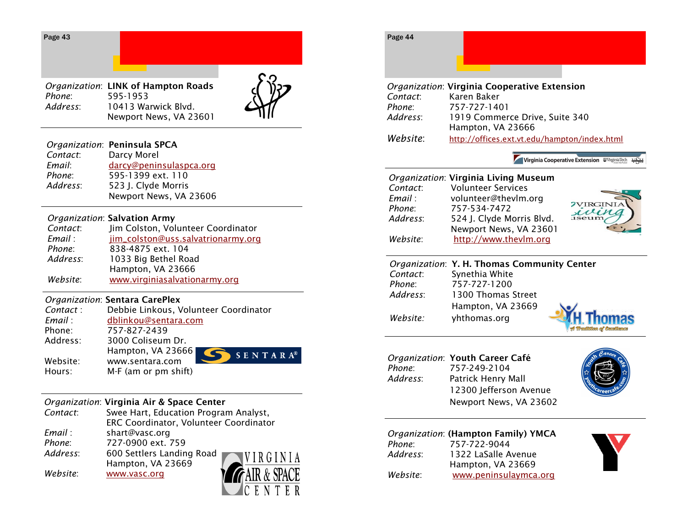| Page 43 |  |
|---------|--|
|---------|--|

*Organization*: **LINK of Hampton Roads** *Phone*: 595-1953 *Address*: 10413 Warwick Blvd. Newport News, VA 23601



IC E

### *Organization*: **Peninsula SPCA**

| Contact: | Darcy Morel             |
|----------|-------------------------|
| Email:   | darcy@peninsulaspca.org |
| Phone:   | 595-1399 ext. 110       |
| Address: | 523 J. Clyde Morris     |
|          | Newport News, VA 23606  |

### *Organization*: **Salvation Army**

| Contact: | Jim Colston, Volunteer Coordinator |
|----------|------------------------------------|
| Email:   | jim_colston@uss.salvatrionarmy.org |
| Phone:   | 838-4875 ext. 104                  |
| Address: | 1033 Big Bethel Road               |
|          | Hampton, VA 23666                  |
| Website: | www.virginiasalvationarmy.org      |

### *Organization*: **Sentara CarePlex**

| Contact: | Debbie Linkous, Volunteer Coordinator  |
|----------|----------------------------------------|
| Email :  | dblinkou@sentara.com                   |
| Phone:   | 757-827-2439                           |
| Address: | 3000 Coliseum Dr.                      |
|          | Hampton, VA 23666<br>$S E N T A R A^6$ |
| Website: | www.sentara.com                        |
| Hours:   | M-F (am or pm shift)                   |

### *Organization*: **Virginia Air & Space Center**

| Contact: | Swee Hart, Education Program Analyst,       |
|----------|---------------------------------------------|
|          | ERC Coordinator, Volunteer Coordinator      |
| Email :  | shart@vasc.org                              |
| Phone:   | 727-0900 ext. 759                           |
| Address: | 600 Settlers Landing Road<br><b>WIRGINI</b> |
|          | Hampton, VA 23669                           |
| Website: | FAIR & SPAC<br>www.vasc.org                 |
|          |                                             |



Virginia Cooperative Extension WVirginia Tech Martin

### *Organization*: **Virginia Living Museum**

| Contact:<br>Email : | <b>Volunteer Services</b><br>volunteer@thevlm.org |         |
|---------------------|---------------------------------------------------|---------|
| Phone:              | 757-534-7472                                      | TVIRGIN |
| Address:            | 524 J. Clyde Morris Blvd.                         |         |
|                     | Newport News, VA 23601                            |         |
| Website:            | http://www.thevlm.org                             |         |
|                     |                                                   |         |

### *Organization*: **Y. H. Thomas Community Center** *Contact*: Synethia White *Phone*: 757-727-1200 *Address*: 1300 Thomas Street Hampton, VA 23669 *Website:* yhthomas.org



### *Organization*: **Youth Career Café**  *Phone*: 757-249-2104 *Address*: Patrick Henry Mall 12300 Jefferson Avenue Newport News, VA 23602



### *Organization*: **(Hampton Family) YMCA**

| Phone:   | 757-722-9044          |
|----------|-----------------------|
| Address: | 1322 LaSalle Avenue   |
|          | Hampton, VA 23669     |
| Website: | www.peninsulaymca.org |

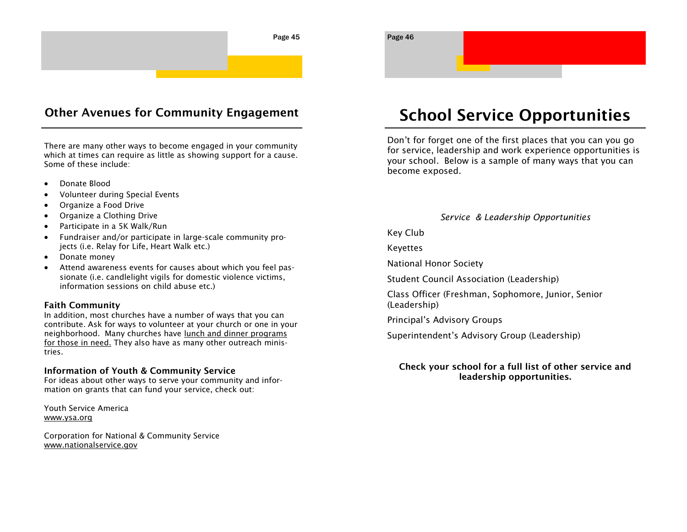

### **Other Avenues for Community Engagement**

There are many other ways to become engaged in your community which at times can require as little as showing support for a cause. Some of these include:

- Donate Blood
- Volunteer during Special Events
- Organize a Food Drive
- Organize a Clothing Drive
- Participate in a 5K Walk/Run
- Fundraiser and/or participate in large-scale community projects (i.e. Relay for Life, Heart Walk etc.)
- Donate money
- Attend awareness events for causes about which you feel passionate (i.e. candlelight vigils for domestic violence victims, information sessions on child abuse etc.)

### **Faith Community**

In addition, most churches have a number of ways that you can contribute. Ask for ways to volunteer at your church or one in your neighborhood. Many churches have lunch and dinner programs for those in need. They also have as many other outreach ministries.

### **Information of Youth & Community Service**

For ideas about other ways to serve your community and information on grants that can fund your service, check out:

Youth Service America www.ysa.org

Corporation for National & Community Service www.nationalservice.gov

### **School Service Opportunities**

Don't for forget one of the first places that you can you go for service, leadership and work experience opportunities is your school. Below is a sample of many ways that you can become exposed.

### *Service & Leadership Opportunities*

Key Club

Keyettes

National Honor Society

Student Council Association (Leadership)

Class Officer (Freshman, Sophomore, Junior, Senior (Leadership)

Principal's Advisory Groups

Superintendent's Advisory Group (Leadership)

### **Check your school for a full list of other service and leadership opportunities.**